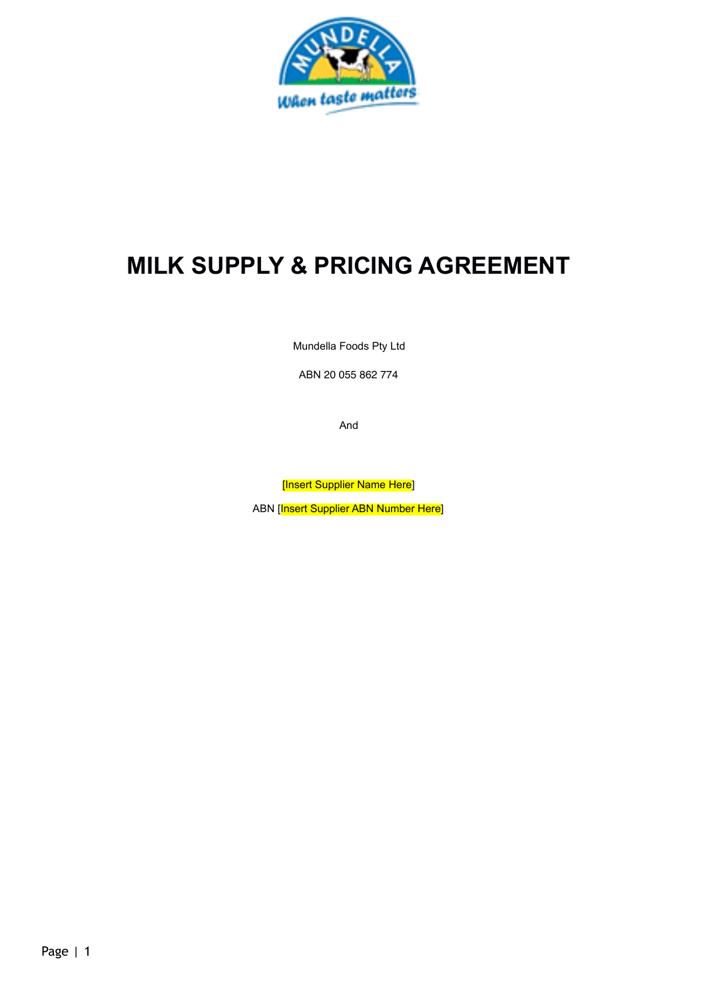

# **MILK SUPPLY & PRICING AGREEMENT**

Mundella Foods Pty Ltd

ABN 20 055 862 774

And

[Insert Supplier Name Here]

ABN [Insert Supplier ABN Number Here]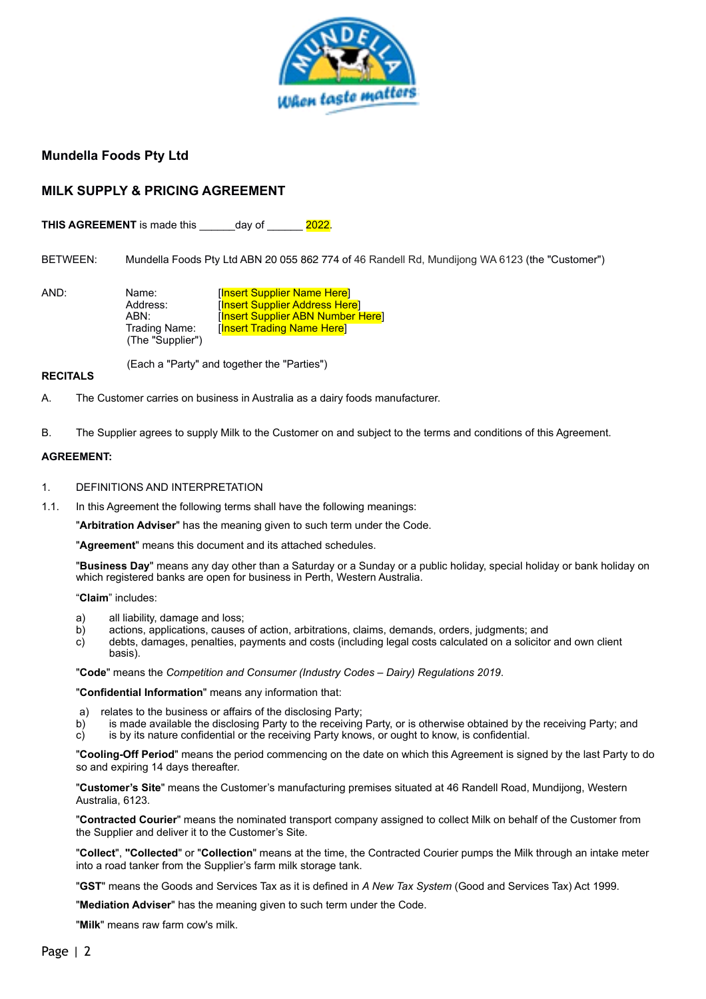

# **Mundella Foods Pty Ltd**

# **MILK SUPPLY & PRICING AGREEMENT**

**THIS AGREEMENT** is made this day of 2022.

BETWEEN: Mundella Foods Pty Ltd ABN 20 055 862 774 of 46 Randell Rd, Mundijong WA 6123 (the "Customer")

AND: Name: [Insert Supplier Name Here] Address: [Insert Supplier Address Here]<br>ABN: [Insert Supplier ABN Number I **Insert Supplier ABN Number Here]** Trading Name: [Insert Trading Name Here] (The "Supplier")

(Each a "Party" and together the "Parties")

#### **RECITALS**

A. The Customer carries on business in Australia as a dairy foods manufacturer.

B. The Supplier agrees to supply Milk to the Customer on and subject to the terms and conditions of this Agreement.

#### **AGREEMENT:**

- 1. DEFINITIONS AND INTERPRETATION
- 1.1. In this Agreement the following terms shall have the following meanings:

"**Arbitration Adviser**" has the meaning given to such term under the Code.

"**Agreement**" means this document and its attached schedules.

"**Business Day**" means any day other than a Saturday or a Sunday or a public holiday, special holiday or bank holiday on which registered banks are open for business in Perth, Western Australia.

"**Claim**" includes:

- a) all liability, damage and loss;<br>b) actions, applications, causes
- b) actions, applications, causes of action, arbitrations, claims, demands, orders, judgments; and
- c) debts, damages, penalties, payments and costs (including legal costs calculated on a solicitor and own client basis).

"**Code**" means the *Competition and Consumer (Industry Codes – Dairy) Regulations 2019*.

"**Confidential Information**" means any information that:

- a) relates to the business or affairs of the disclosing Party;
- b) is made available the disclosing Party to the receiving Party, or is otherwise obtained by the receiving Party; and
- c) is by its nature confidential or the receiving Party knows, or ought to know, is confidential.

"**Cooling-Off Period**" means the period commencing on the date on which this Agreement is signed by the last Party to do so and expiring 14 days thereafter.

"**Customer's Site**" means the Customer's manufacturing premises situated at 46 Randell Road, Mundijong, Western Australia, 6123.

"**Contracted Courier**" means the nominated transport company assigned to collect Milk on behalf of the Customer from the Supplier and deliver it to the Customer's Site.

"**Collect**", **"Collected**" or "**Collection**" means at the time, the Contracted Courier pumps the Milk through an intake meter into a road tanker from the Supplier's farm milk storage tank.

"**GST**" means the Goods and Services Tax as it is defined in *A New Tax System* (Good and Services Tax) Act 1999.

"**Mediation Adviser**" has the meaning given to such term under the Code.

"**Milk**" means raw farm cow's milk.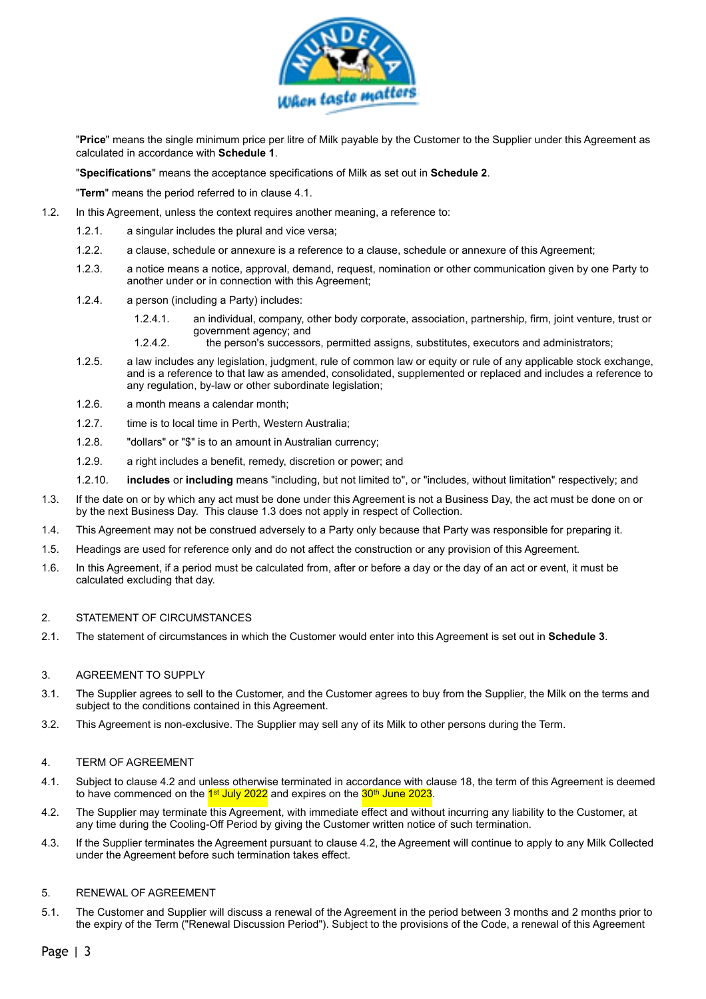

"**Price**" means the single minimum price per litre of Milk payable by the Customer to the Supplier under this Agreement as calculated in accordance with **Schedule 1**.

"**Specifications**" means the acceptance specifications of Milk as set out in **Schedule 2**.

"**Term**" means the period referred to in clause [4.1.](#page-2-0)

- 1.2. In this Agreement, unless the context requires another meaning, a reference to:
	- 1.2.1. a singular includes the plural and vice versa;
	- 1.2.2. a clause, schedule or annexure is a reference to a clause, schedule or annexure of this Agreement;
	- 1.2.3. a notice means a notice, approval, demand, request, nomination or other communication given by one Party to another under or in connection with this Agreement;
	- 1.2.4. a person (including a Party) includes:
		- 1.2.4.1. an individual, company, other body corporate, association, partnership, firm, joint venture, trust or government agency; and
		- 1.2.4.2. the person's successors, permitted assigns, substitutes, executors and administrators;
	- 1.2.5. a law includes any legislation, judgment, rule of common law or equity or rule of any applicable stock exchange, and is a reference to that law as amended, consolidated, supplemented or replaced and includes a reference to any regulation, by-law or other subordinate legislation;
	- 1.2.6. a month means a calendar month;
	- 1.2.7. time is to local time in Perth, Western Australia;
	- 1.2.8. "dollars" or "\$" is to an amount in Australian currency;
	- 1.2.9. a right includes a benefit, remedy, discretion or power; and
	- 1.2.10. **includes** or **including** means "including, but not limited to", or "includes, without limitation" respectively; and
- <span id="page-2-1"></span>1.3. If the date on or by which any act must be done under this Agreement is not a Business Day, the act must be done on or by the next Business Day. This clause [1.3](#page-2-1) does not apply in respect of Collection.
- 1.4. This Agreement may not be construed adversely to a Party only because that Party was responsible for preparing it.
- 1.5. Headings are used for reference only and do not affect the construction or any provision of this Agreement.
- 1.6. In this Agreement, if a period must be calculated from, after or before a day or the day of an act or event, it must be calculated excluding that day.

## 2. STATEMENT OF CIRCUMSTANCES

2.1. The statement of circumstances in which the Customer would enter into this Agreement is set out in **Schedule 3**.

#### 3. AGREEMENT TO SUPPLY

- 3.1. The Supplier agrees to sell to the Customer, and the Customer agrees to buy from the Supplier, the Milk on the terms and subject to the conditions contained in this Agreement.
- 3.2. This Agreement is non-exclusive. The Supplier may sell any of its Milk to other persons during the Term.

#### 4. TERM OF AGREEMENT

- <span id="page-2-0"></span>4.1. Subject to clause [4.2](#page-2-2) and unless otherwise terminated in accordance with clause [18,](#page-6-0) the term of this Agreement is deemed to have commenced on the  $1st$  July 2022 and expires on the  $30th$  June 2023.
- <span id="page-2-3"></span><span id="page-2-2"></span>4.2. The Supplier may terminate this Agreement, with immediate effect and without incurring any liability to the Customer, at any time during the Cooling-Off Period by giving the Customer written notice of such termination.
- 4.3. If the Supplier terminates the Agreement pursuant to clause [4.2](#page-2-3), the Agreement will continue to apply to any Milk Collected under the Agreement before such termination takes effect.

#### 5. RENEWAL OF AGREEMENT

5.1. The Customer and Supplier will discuss a renewal of the Agreement in the period between 3 months and 2 months prior to the expiry of the Term ("Renewal Discussion Period"). Subject to the provisions of the Code, a renewal of this Agreement

Page | 3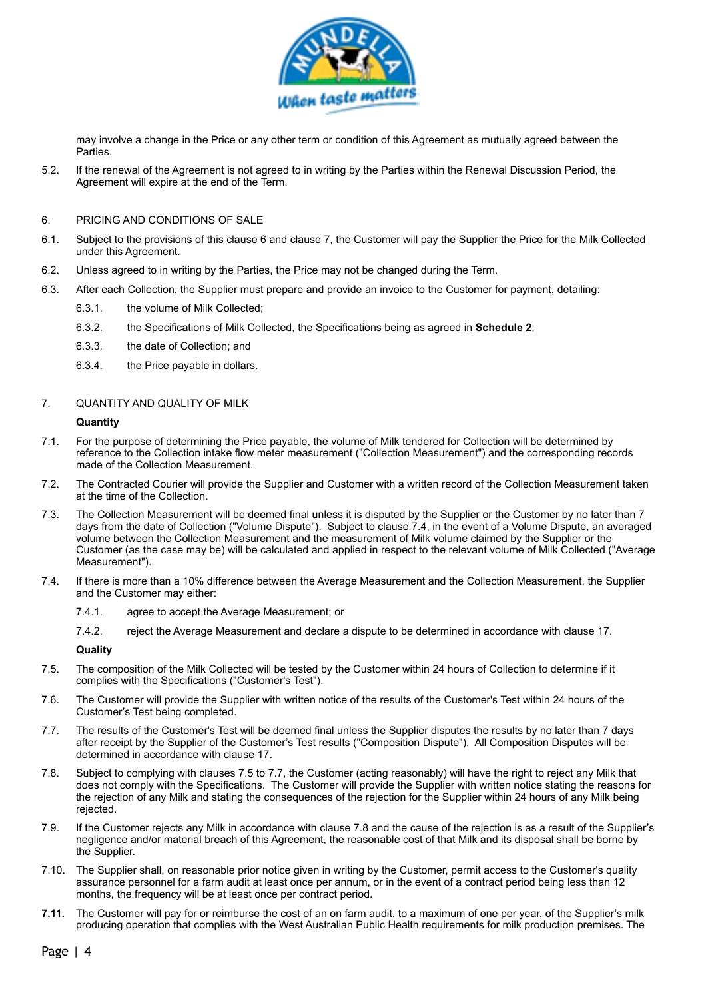

may involve a change in the Price or any other term or condition of this Agreement as mutually agreed between the Parties.

5.2. If the renewal of the Agreement is not agreed to in writing by the Parties within the Renewal Discussion Period, the Agreement will expire at the end of the Term.

#### <span id="page-3-0"></span>6. PRICING AND CONDITIONS OF SALE

- 6.1. Subject to the provisions of this clause [6](#page-3-0) and clause [7](#page-3-1), the Customer will pay the Supplier the Price for the Milk Collected under this Agreement.
- 6.2. Unless agreed to in writing by the Parties, the Price may not be changed during the Term.
- <span id="page-3-6"></span>6.3. After each Collection, the Supplier must prepare and provide an invoice to the Customer for payment, detailing:
	- 6.3.1. the volume of Milk Collected;
	- 6.3.2. the Specifications of Milk Collected, the Specifications being as agreed in **Schedule 2**;
	- 6.3.3. the date of Collection; and
	- 6.3.4. the Price payable in dollars.

#### 7. QUANTITY AND QUALITY OF MILK

#### <span id="page-3-1"></span>**Quantity**

- 7.1. For the purpose of determining the Price payable, the volume of Milk tendered for Collection will be determined by reference to the Collection intake flow meter measurement ("Collection Measurement") and the corresponding records made of the Collection Measurement.
- 7.2. The Contracted Courier will provide the Supplier and Customer with a written record of the Collection Measurement taken at the time of the Collection.
- 7.3. The Collection Measurement will be deemed final unless it is disputed by the Supplier or the Customer by no later than 7 days from the date of Collection ("Volume Dispute"). Subject to clause [7.4](#page-3-2), in the event of a Volume Dispute, an averaged volume between the Collection Measurement and the measurement of Milk volume claimed by the Supplier or the Customer (as the case may be) will be calculated and applied in respect to the relevant volume of Milk Collected ("Average Measurement").
- <span id="page-3-2"></span>7.4. If there is more than a 10% difference between the Average Measurement and the Collection Measurement, the Supplier and the Customer may either:
	- 7.4.1. agree to accept the Average Measurement; or
	- 7.4.2. reject the Average Measurement and declare a dispute to be determined in accordance with clause [17.](#page-5-0)

#### <span id="page-3-3"></span>**Quality**

- 7.5. The composition of the Milk Collected will be tested by the Customer within 24 hours of Collection to determine if it complies with the Specifications ("Customer's Test").
- 7.6. The Customer will provide the Supplier with written notice of the results of the Customer's Test within 24 hours of the Customer's Test being completed.
- <span id="page-3-4"></span>7.7. The results of the Customer's Test will be deemed final unless the Supplier disputes the results by no later than 7 days after receipt by the Supplier of the Customer's Test results ("Composition Dispute"). All Composition Disputes will be determined in accordance with clause [17](#page-5-0).
- <span id="page-3-5"></span>7.8. Subject to complying with clauses [7.5](#page-3-3) to [7.7](#page-3-4), the Customer (acting reasonably) will have the right to reject any Milk that does not comply with the Specifications. The Customer will provide the Supplier with written notice stating the reasons for the rejection of any Milk and stating the consequences of the rejection for the Supplier within 24 hours of any Milk being rejected.
- 7.9. If the Customer rejects any Milk in accordance with clause [7.8](#page-3-5) and the cause of the rejection is as a result of the Supplier's negligence and/or material breach of this Agreement, the reasonable cost of that Milk and its disposal shall be borne by the Supplier.
- 7.10. The Supplier shall, on reasonable prior notice given in writing by the Customer, permit access to the Customer's quality assurance personnel for a farm audit at least once per annum, or in the event of a contract period being less than 12 months, the frequency will be at least once per contract period.
- **7.11.** The Customer will pay for or reimburse the cost of an on farm audit, to a maximum of one per year, of the Supplier's milk producing operation that complies with the West Australian Public Health requirements for milk production premises. The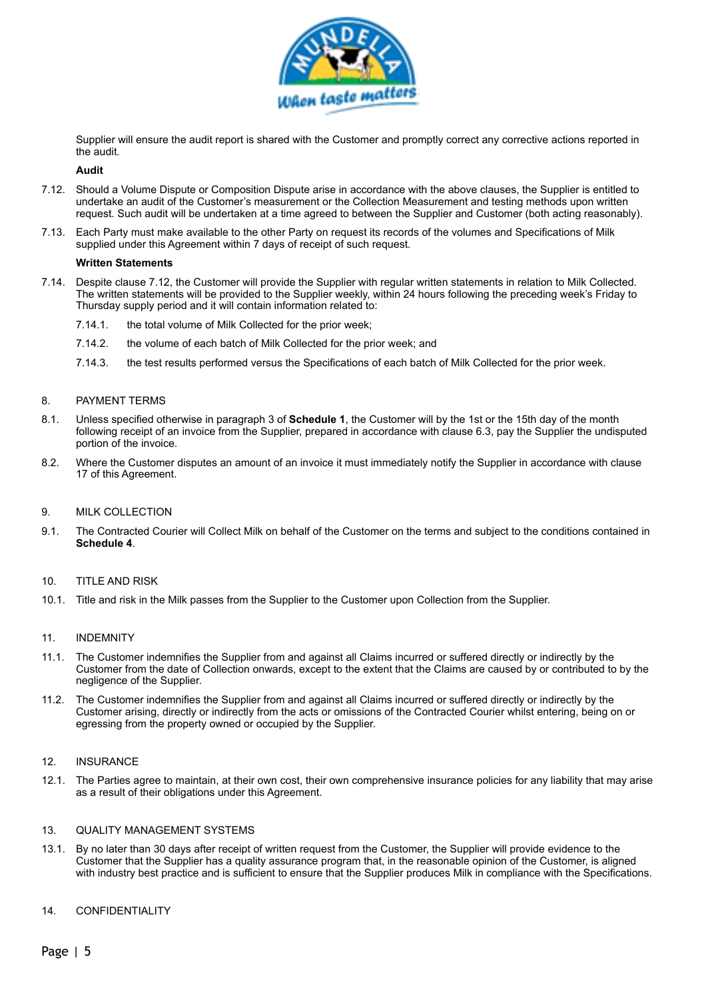

Supplier will ensure the audit report is shared with the Customer and promptly correct any corrective actions reported in the audit.

#### **Audit**

- 7.12. Should a Volume Dispute or Composition Dispute arise in accordance with the above clauses, the Supplier is entitled to undertake an audit of the Customer's measurement or the Collection Measurement and testing methods upon written request. Such audit will be undertaken at a time agreed to between the Supplier and Customer (both acting reasonably).
- 7.13. Each Party must make available to the other Party on request its records of the volumes and Specifications of Milk supplied under this Agreement within 7 days of receipt of such request.

#### <span id="page-4-0"></span>**Written Statements**

- 7.14. Despite clause [7.12](#page-4-0), the Customer will provide the Supplier with regular written statements in relation to Milk Collected. The written statements will be provided to the Supplier weekly, within 24 hours following the preceding week's Friday to Thursday supply period and it will contain information related to:
	- 7.14.1. the total volume of Milk Collected for the prior week;
	- 7.14.2. the volume of each batch of Milk Collected for the prior week; and
	- 7.14.3. the test results performed versus the Specifications of each batch of Milk Collected for the prior week.

#### 8. PAYMENT TERMS

- 8.1. Unless specified otherwise in paragraph [3](#page-11-0) of **Schedule 1**, the Customer will by the 1st or the 15th day of the month following receipt of an invoice from the Supplier, prepared in accordance with clause [6.3,](#page-3-6) pay the Supplier the undisputed portion of the invoice.
- 8.2. Where the Customer disputes an amount of an invoice it must immediately notify the Supplier in accordance with clause [17](#page-5-0) of this Agreement.

#### 9. MILK COLLECTION

9.1. The Contracted Courier will Collect Milk on behalf of the Customer on the terms and subject to the conditions contained in **Schedule 4**.

#### 10. TITLE AND RISK

10.1. Title and risk in the Milk passes from the Supplier to the Customer upon Collection from the Supplier.

#### 11. INDEMNITY

- 11.1. The Customer indemnifies the Supplier from and against all Claims incurred or suffered directly or indirectly by the Customer from the date of Collection onwards, except to the extent that the Claims are caused by or contributed to by the negligence of the Supplier.
- 11.2. The Customer indemnifies the Supplier from and against all Claims incurred or suffered directly or indirectly by the Customer arising, directly or indirectly from the acts or omissions of the Contracted Courier whilst entering, being on or egressing from the property owned or occupied by the Supplier.

#### 12. INSURANCE

12.1. The Parties agree to maintain, at their own cost, their own comprehensive insurance policies for any liability that may arise as a result of their obligations under this Agreement.

#### 13. QUALITY MANAGEMENT SYSTEMS

13.1. By no later than 30 days after receipt of written request from the Customer, the Supplier will provide evidence to the Customer that the Supplier has a quality assurance program that, in the reasonable opinion of the Customer, is aligned with industry best practice and is sufficient to ensure that the Supplier produces Milk in compliance with the Specifications.

#### <span id="page-4-1"></span>14. CONFIDENTIALITY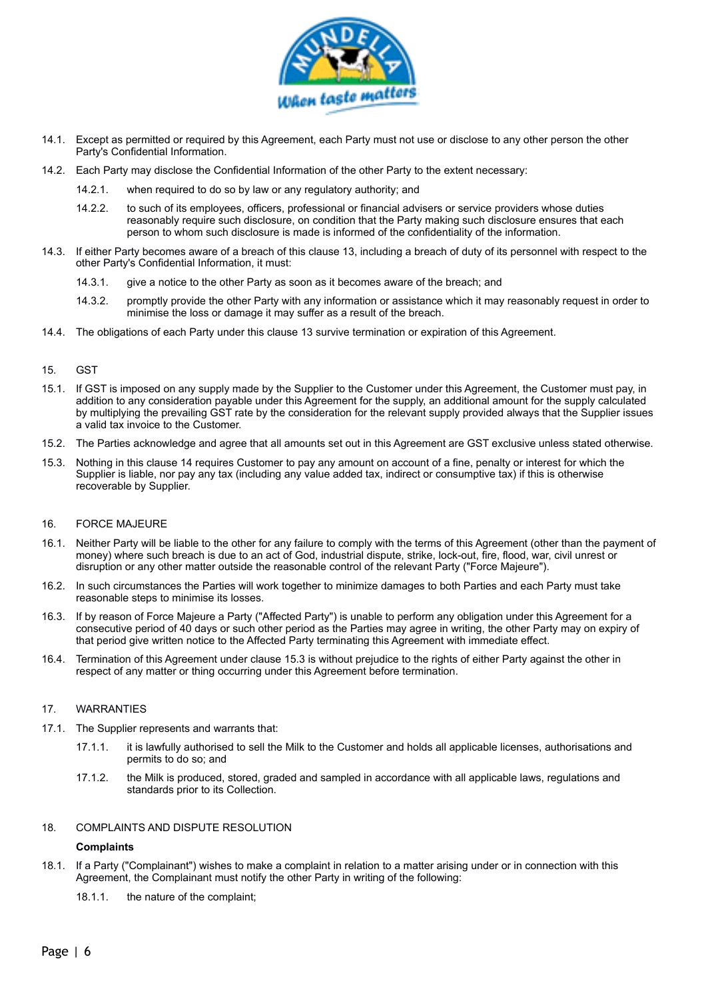

- 14.1. Except as permitted or required by this Agreement, each Party must not use or disclose to any other person the other Party's Confidential Information.
- 14.2. Each Party may disclose the Confidential Information of the other Party to the extent necessary:
	- 14.2.1. when required to do so by law or any regulatory authority; and
	- 14.2.2. to such of its employees, officers, professional or financial advisers or service providers whose duties reasonably require such disclosure, on condition that the Party making such disclosure ensures that each person to whom such disclosure is made is informed of the confidentiality of the information.
- 14.3. If either Party becomes aware of a breach of this clause [13](#page-4-1), including a breach of duty of its personnel with respect to the other Party's Confidential Information, it must:
	- 14.3.1. give a notice to the other Party as soon as it becomes aware of the breach; and
	- 14.3.2. promptly provide the other Party with any information or assistance which it may reasonably request in order to minimise the loss or damage it may suffer as a result of the breach.
- 14.4. The obligations of each Party under this clause [13](#page-4-1) survive termination or expiration of this Agreement.

#### <span id="page-5-1"></span>15. GST

- 15.1. If GST is imposed on any supply made by the Supplier to the Customer under this Agreement, the Customer must pay, in addition to any consideration payable under this Agreement for the supply, an additional amount for the supply calculated by multiplying the prevailing GST rate by the consideration for the relevant supply provided always that the Supplier issues a valid tax invoice to the Customer.
- 15.2. The Parties acknowledge and agree that all amounts set out in this Agreement are GST exclusive unless stated otherwise.
- 15.3. Nothing in this clause [14](#page-5-1) requires Customer to pay any amount on account of a fine, penalty or interest for which the Supplier is liable, nor pay any tax (including any value added tax, indirect or consumptive tax) if this is otherwise recoverable by Supplier.

#### 16. FORCE MAJEURE

- 16.1. Neither Party will be liable to the other for any failure to comply with the terms of this Agreement (other than the payment of money) where such breach is due to an act of God, industrial dispute, strike, lock-out, fire, flood, war, civil unrest or disruption or any other matter outside the reasonable control of the relevant Party ("Force Majeure").
- 16.2. In such circumstances the Parties will work together to minimize damages to both Parties and each Party must take reasonable steps to minimise its losses.
- <span id="page-5-2"></span>16.3. If by reason of Force Majeure a Party ("Affected Party") is unable to perform any obligation under this Agreement for a consecutive period of 40 days or such other period as the Parties may agree in writing, the other Party may on expiry of that period give written notice to the Affected Party terminating this Agreement with immediate effect.
- 16.4. Termination of this Agreement under clause [15.3](#page-5-2) is without prejudice to the rights of either Party against the other in respect of any matter or thing occurring under this Agreement before termination.

#### 17. WARRANTIES

- 17.1. The Supplier represents and warrants that:
	- 17.1.1. it is lawfully authorised to sell the Milk to the Customer and holds all applicable licenses, authorisations and permits to do so; and
	- 17.1.2. the Milk is produced, stored, graded and sampled in accordance with all applicable laws, regulations and standards prior to its Collection.

#### 18. COMPLAINTS AND DISPUTE RESOLUTION

#### <span id="page-5-0"></span>**Complaints**

- 18.1. If a Party ("Complainant") wishes to make a complaint in relation to a matter arising under or in connection with this Agreement, the Complainant must notify the other Party in writing of the following:
	- 18.1.1. the nature of the complaint;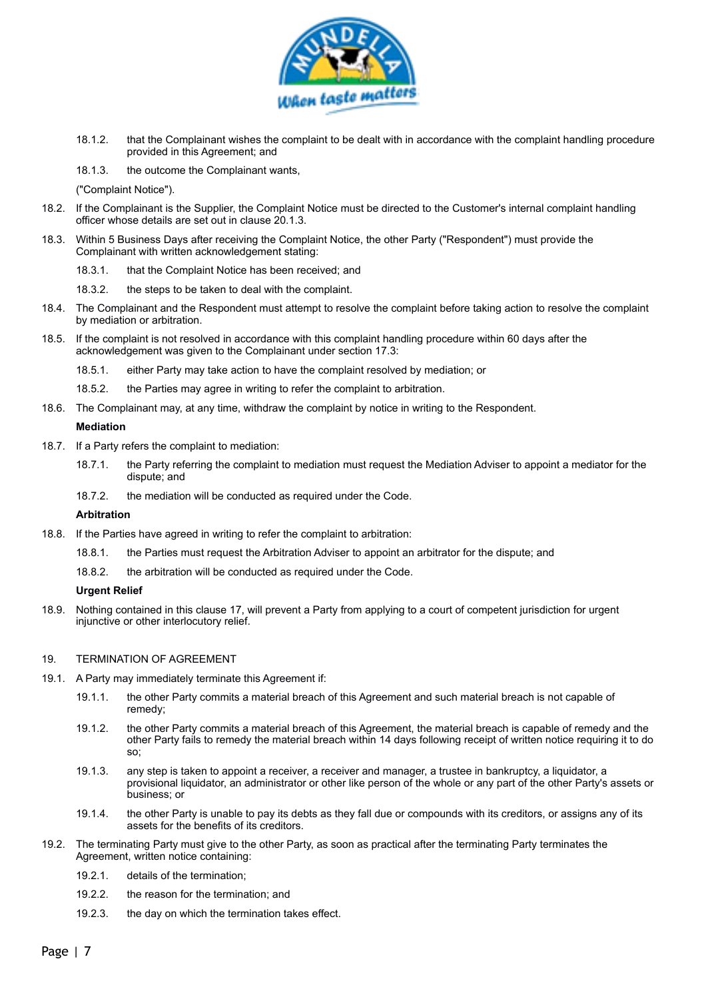

- 18.1.2. that the Complainant wishes the complaint to be dealt with in accordance with the complaint handling procedure provided in this Agreement; and
- 18.1.3. the outcome the Complainant wants,

("Complaint Notice").

- 18.2. If the Complainant is the Supplier, the Complaint Notice must be directed to the Customer's internal complaint handling officer whose details are set out in clause [20.1.3.](#page-7-0)
- <span id="page-6-1"></span>18.3. Within 5 Business Days after receiving the Complaint Notice, the other Party ("Respondent") must provide the Complainant with written acknowledgement stating:
	- 18.3.1. that the Complaint Notice has been received; and
	- 18.3.2. the steps to be taken to deal with the complaint.
- 18.4. The Complainant and the Respondent must attempt to resolve the complaint before taking action to resolve the complaint by mediation or arbitration.
- 18.5. If the complaint is not resolved in accordance with this complaint handling procedure within 60 days after the acknowledgement was given to the Complainant under section [17.3](#page-6-1):
	- 18.5.1. either Party may take action to have the complaint resolved by mediation; or
	- 18.5.2. the Parties may agree in writing to refer the complaint to arbitration.
- 18.6. The Complainant may, at any time, withdraw the complaint by notice in writing to the Respondent.

#### **Mediation**

- 18.7. If a Party refers the complaint to mediation:
	- 18.7.1. the Party referring the complaint to mediation must request the Mediation Adviser to appoint a mediator for the dispute; and
	- 18.7.2. the mediation will be conducted as required under the Code.

#### **Arbitration**

- 18.8. If the Parties have agreed in writing to refer the complaint to arbitration:
	- 18.8.1. the Parties must request the Arbitration Adviser to appoint an arbitrator for the dispute; and
	- 18.8.2. the arbitration will be conducted as required under the Code.

#### **Urgent Relief**

18.9. Nothing contained in this clause [17](#page-5-0), will prevent a Party from applying to a court of competent jurisdiction for urgent injunctive or other interlocutory relief.

#### <span id="page-6-0"></span>19. TERMINATION OF AGREEMENT

- 19.1. A Party may immediately terminate this Agreement if:
	- 19.1.1. the other Party commits a material breach of this Agreement and such material breach is not capable of remedy;
	- 19.1.2. the other Party commits a material breach of this Agreement, the material breach is capable of remedy and the other Party fails to remedy the material breach within 14 days following receipt of written notice requiring it to do so;
	- 19.1.3. any step is taken to appoint a receiver, a receiver and manager, a trustee in bankruptcy, a liquidator, a provisional liquidator, an administrator or other like person of the whole or any part of the other Party's assets or business; or
	- 19.1.4. the other Party is unable to pay its debts as they fall due or compounds with its creditors, or assigns any of its assets for the benefits of its creditors.
- 19.2. The terminating Party must give to the other Party, as soon as practical after the terminating Party terminates the Agreement, written notice containing:
	- 19.2.1. details of the termination;
	- 19.2.2. the reason for the termination; and
	- 19.2.3. the day on which the termination takes effect.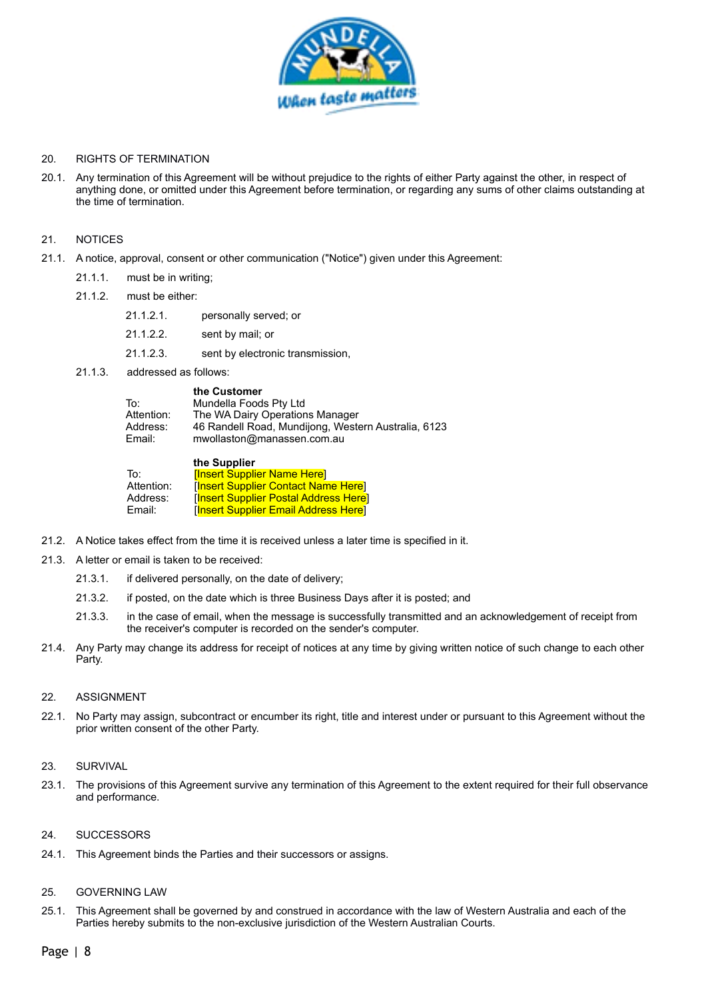

#### 20. RIGHTS OF TERMINATION

20.1. Any termination of this Agreement will be without prejudice to the rights of either Party against the other, in respect of anything done, or omitted under this Agreement before termination, or regarding any sums of other claims outstanding at the time of termination.

#### 21. NOTICES

- 21.1. A notice, approval, consent or other communication ("Notice") given under this Agreement:
	- 21.1.1. must be in writing;
	- 21.1.2. must be either:
		- 21.1.2.1. personally served; or
		- 21.1.2.2. sent by mail; or
		- 21.1.2.3. sent by electronic transmission,
	- 21.1.3. addressed as follows:

<span id="page-7-0"></span>

| the Customer                                        |
|-----------------------------------------------------|
| Mundella Foods Pty Ltd                              |
| The WA Dairy Operations Manager                     |
| 46 Randell Road, Mundijong, Western Australia, 6123 |
| mwollaston@manassen.com.au                          |
|                                                     |

|            | the Supplier                                |  |
|------------|---------------------------------------------|--|
| To:        | <b>Insert Supplier Name Herel</b>           |  |
| Attention: | <b>[Insert Supplier Contact Name Here]</b>  |  |
| Address:   | [Insert Supplier Postal Address Here]       |  |
| Email:     | <b>[Insert Supplier Email Address Here]</b> |  |

- 21.2. A Notice takes effect from the time it is received unless a later time is specified in it.
- 21.3. A letter or email is taken to be received:
	- 21.3.1. if delivered personally, on the date of delivery;
	- 21.3.2. if posted, on the date which is three Business Days after it is posted; and
	- 21.3.3. in the case of email, when the message is successfully transmitted and an acknowledgement of receipt from the receiver's computer is recorded on the sender's computer.
- 21.4. Any Party may change its address for receipt of notices at any time by giving written notice of such change to each other Party.

#### 22. ASSIGNMENT

22.1. No Party may assign, subcontract or encumber its right, title and interest under or pursuant to this Agreement without the prior written consent of the other Party.

#### 23. SURVIVAL

23.1. The provisions of this Agreement survive any termination of this Agreement to the extent required for their full observance and performance.

#### 24. SUCCESSORS

24.1. This Agreement binds the Parties and their successors or assigns.

#### 25. GOVERNING LAW

25.1. This Agreement shall be governed by and construed in accordance with the law of Western Australia and each of the Parties hereby submits to the non-exclusive jurisdiction of the Western Australian Courts.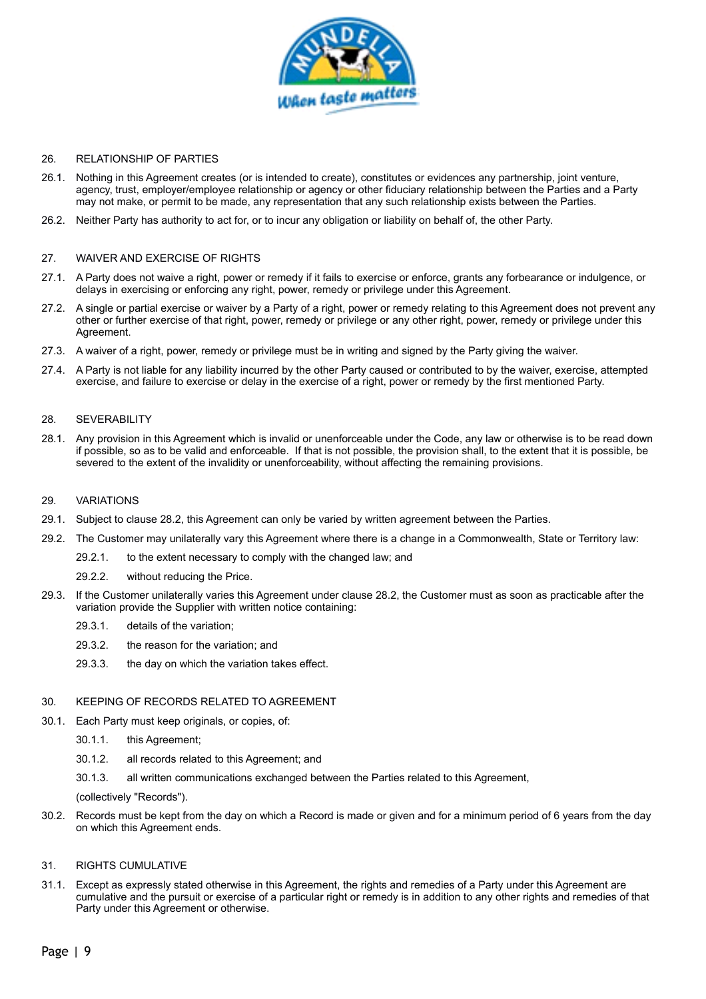

#### 26. RELATIONSHIP OF PARTIES

- 26.1. Nothing in this Agreement creates (or is intended to create), constitutes or evidences any partnership, joint venture, agency, trust, employer/employee relationship or agency or other fiduciary relationship between the Parties and a Party may not make, or permit to be made, any representation that any such relationship exists between the Parties.
- 26.2. Neither Party has authority to act for, or to incur any obligation or liability on behalf of, the other Party.

#### 27. WAIVER AND EXERCISE OF RIGHTS

- 27.1. A Party does not waive a right, power or remedy if it fails to exercise or enforce, grants any forbearance or indulgence, or delays in exercising or enforcing any right, power, remedy or privilege under this Agreement.
- 27.2. A single or partial exercise or waiver by a Party of a right, power or remedy relating to this Agreement does not prevent any other or further exercise of that right, power, remedy or privilege or any other right, power, remedy or privilege under this Agreement.
- 27.3. A waiver of a right, power, remedy or privilege must be in writing and signed by the Party giving the waiver.
- 27.4. A Party is not liable for any liability incurred by the other Party caused or contributed to by the waiver, exercise, attempted exercise, and failure to exercise or delay in the exercise of a right, power or remedy by the first mentioned Party.

#### 28. SEVERABILITY

28.1. Any provision in this Agreement which is invalid or unenforceable under the Code, any law or otherwise is to be read down if possible, so as to be valid and enforceable. If that is not possible, the provision shall, to the extent that it is possible, be severed to the extent of the invalidity or unenforceability, without affecting the remaining provisions.

#### 29. VARIATIONS

- 29.1. Subject to clause [28.2](#page-8-0), this Agreement can only be varied by written agreement between the Parties.
- <span id="page-8-0"></span>29.2. The Customer may unilaterally vary this Agreement where there is a change in a Commonwealth, State or Territory law:
	- 29.2.1. to the extent necessary to comply with the changed law; and
	- 29.2.2. without reducing the Price.
- 29.3. If the Customer unilaterally varies this Agreement under clause [28.2](#page-8-0), the Customer must as soon as practicable after the variation provide the Supplier with written notice containing:
	- 29.3.1. details of the variation;
	- 29.3.2. the reason for the variation; and
	- 29.3.3. the day on which the variation takes effect.

#### 30. KEEPING OF RECORDS RELATED TO AGREEMENT

- 30.1. Each Party must keep originals, or copies, of:
	- 30.1.1. this Agreement;
	- 30.1.2. all records related to this Agreement; and
	- 30.1.3. all written communications exchanged between the Parties related to this Agreement,

(collectively "Records").

30.2. Records must be kept from the day on which a Record is made or given and for a minimum period of 6 years from the day on which this Agreement ends.

#### 31. RIGHTS CUMULATIVE

31.1. Except as expressly stated otherwise in this Agreement, the rights and remedies of a Party under this Agreement are cumulative and the pursuit or exercise of a particular right or remedy is in addition to any other rights and remedies of that Party under this Agreement or otherwise.

Page | 9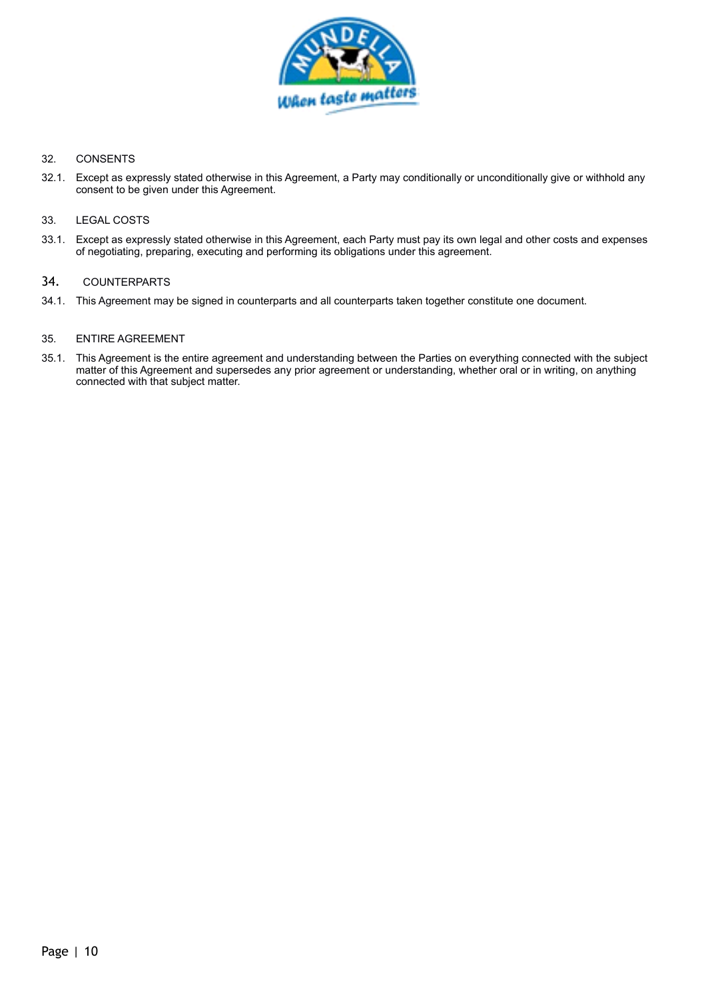

#### 32. CONSENTS

32.1. Except as expressly stated otherwise in this Agreement, a Party may conditionally or unconditionally give or withhold any consent to be given under this Agreement.

#### 33. LEGAL COSTS

33.1. Except as expressly stated otherwise in this Agreement, each Party must pay its own legal and other costs and expenses of negotiating, preparing, executing and performing its obligations under this agreement.

# 34. COUNTERPARTS

34.1. This Agreement may be signed in counterparts and all counterparts taken together constitute one document.

#### 35. ENTIRE AGREEMENT

35.1. This Agreement is the entire agreement and understanding between the Parties on everything connected with the subject matter of this Agreement and supersedes any prior agreement or understanding, whether oral or in writing, on anything connected with that subject matter.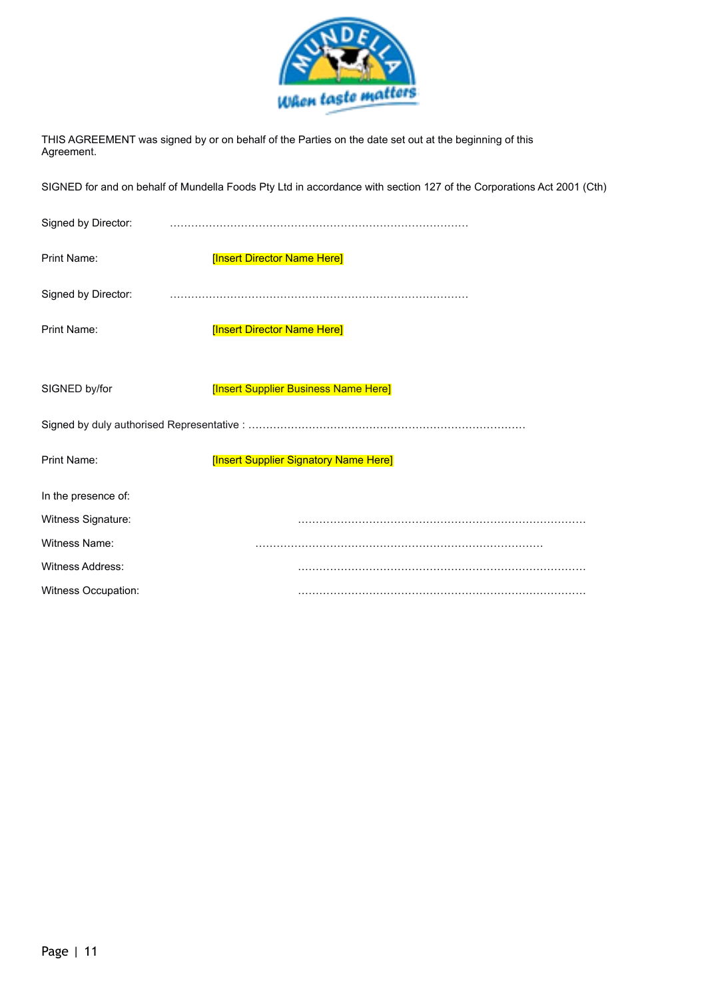

THIS AGREEMENT was signed by or on behalf of the Parties on the date set out at the beginning of this Agreement.

SIGNED for and on behalf of Mundella Foods Pty Ltd in accordance with section 127 of the Corporations Act 2001 (Cth)

| Signed by Director:     |                                       |  |  |  |
|-------------------------|---------------------------------------|--|--|--|
| Print Name:             | [Insert Director Name Here]           |  |  |  |
| Signed by Director:     |                                       |  |  |  |
| Print Name:             | [Insert Director Name Here]           |  |  |  |
| SIGNED by/for           | [Insert Supplier Business Name Here]  |  |  |  |
|                         |                                       |  |  |  |
| Print Name:             | [Insert Supplier Signatory Name Here] |  |  |  |
| In the presence of:     |                                       |  |  |  |
| Witness Signature:      |                                       |  |  |  |
| Witness Name:           |                                       |  |  |  |
| <b>Witness Address:</b> |                                       |  |  |  |
| Witness Occupation:     |                                       |  |  |  |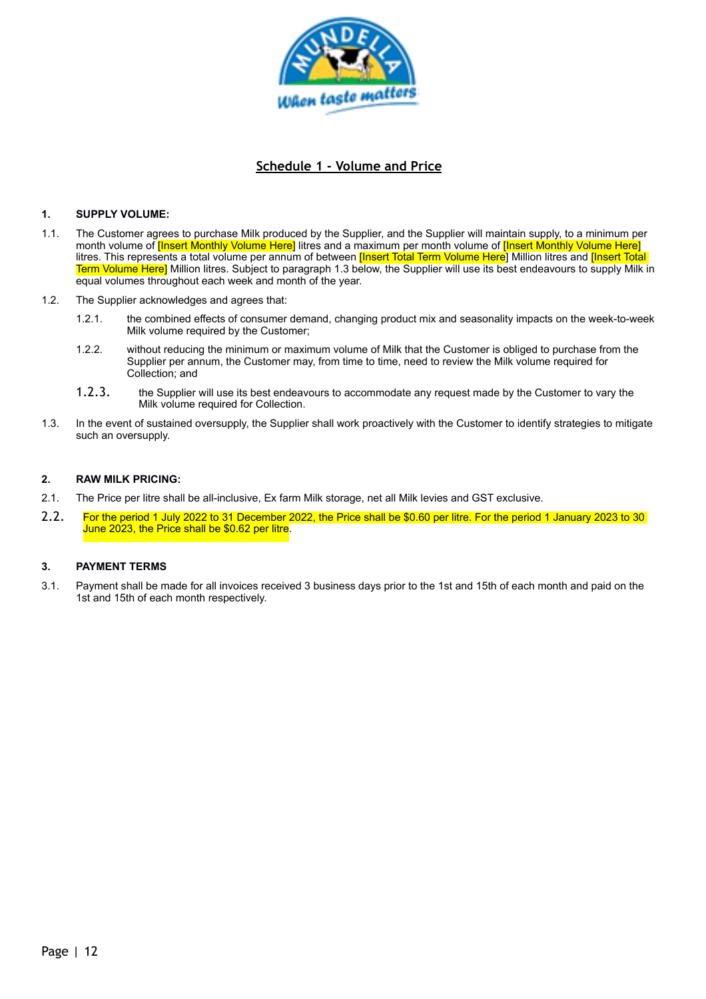

# **Schedule 1 - Volume and Price**

#### **1. SUPPLY VOLUME:**

- 1.1. The Customer agrees to purchase Milk produced by the Supplier, and the Supplier will maintain supply, to a minimum per month volume of *[Insert Monthly Volume Here]* litres and a maximum per month volume of *[Insert Monthly Volume Here]* litres. This represents a total volume per annum of between **[Insert Total Term Volume Here**] Million litres and **[Insert Total**] Term Volume Here] Million litres. Subject to paragraph [1.3](#page-11-1) below, the Supplier will use its best endeavours to supply Milk in equal volumes throughout each week and month of the year.
- <span id="page-11-1"></span>1.2. The Supplier acknowledges and agrees that:
	- 1.2.1. the combined effects of consumer demand, changing product mix and seasonality impacts on the week-to-week Milk volume required by the Customer;
	- 1.2.2. without reducing the minimum or maximum volume of Milk that the Customer is obliged to purchase from the Supplier per annum, the Customer may, from time to time, need to review the Milk volume required for Collection; and
	- 1.2.3. the Supplier will use its best endeavours to accommodate any request made by the Customer to vary the Milk volume required for Collection.
- 1.3. In the event of sustained oversupply, the Supplier shall work proactively with the Customer to identify strategies to mitigate such an oversupply.

#### **2. RAW MILK PRICING:**

- 2.1. The Price per litre shall be all-inclusive, Ex farm Milk storage, net all Milk levies and GST exclusive.
- 2.2. For the period 1 July 2022 to 31 December 2022, the Price shall be \$0.60 per litre. For the period 1 January 2023 to 30 June 2023, the Price shall be \$0.62 per litre.

#### <span id="page-11-0"></span>**3. PAYMENT TERMS**

3.1. Payment shall be made for all invoices received 3 business days prior to the 1st and 15th of each month and paid on the 1st and 15th of each month respectively.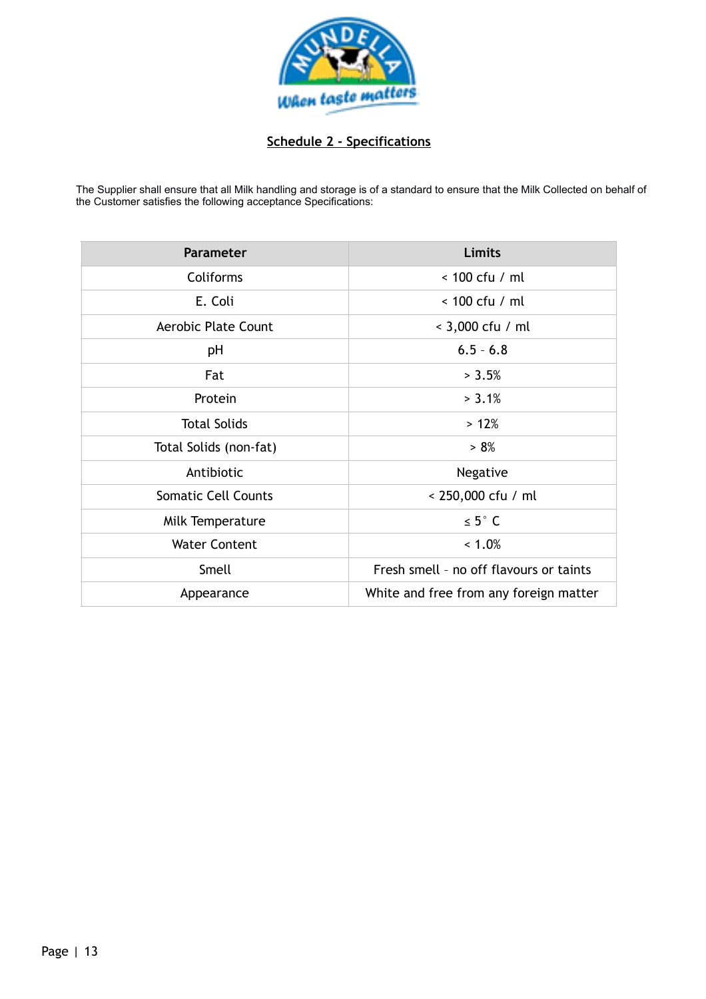

# **Schedule 2 - Specifications**

The Supplier shall ensure that all Milk handling and storage is of a standard to ensure that the Milk Collected on behalf of the Customer satisfies the following acceptance Specifications:

| <b>Parameter</b>           | Limits                                  |
|----------------------------|-----------------------------------------|
| <b>Coliforms</b>           | $< 100$ cfu / ml                        |
| E. Coli                    | $< 100$ cfu / ml                        |
| <b>Aerobic Plate Count</b> | < 3,000 cfu / ml                        |
| pH                         | $6.5 - 6.8$                             |
| Fat                        | > 3.5%                                  |
| Protein                    | > 3.1%                                  |
| <b>Total Solids</b>        | >12%                                    |
| Total Solids (non-fat)     | > 8%                                    |
| Antibiotic                 | Negative                                |
| <b>Somatic Cell Counts</b> | < 250,000 cfu / ml                      |
| Milk Temperature           | $\leq 5^{\circ}$ C                      |
| <b>Water Content</b>       | $< 1.0\%$                               |
| Smell                      | Fresh smell - no off flavours or taints |
| Appearance                 | White and free from any foreign matter  |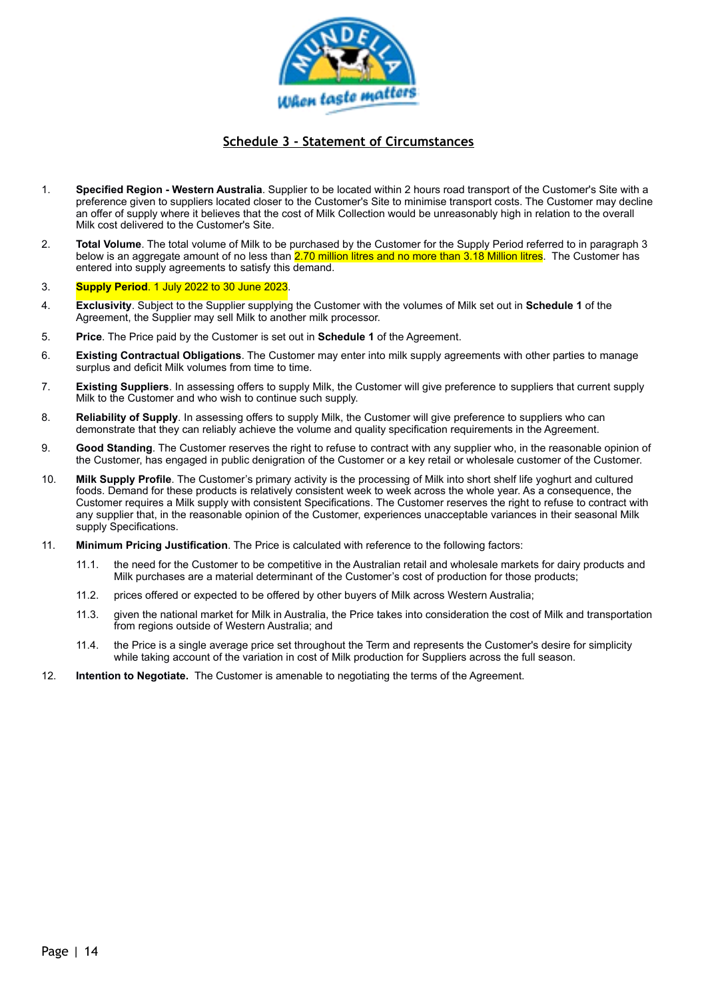

# **Schedule 3 - Statement of Circumstances**

- 1. **Specified Region Western Australia**. Supplier to be located within 2 hours road transport of the Customer's Site with a preference given to suppliers located closer to the Customer's Site to minimise transport costs. The Customer may decline an offer of supply where it believes that the cost of Milk Collection would be unreasonably high in relation to the overall Milk cost delivered to the Customer's Site.
- 2. **Total Volume**. The total volume of Milk to be purchased by the Customer for the Supply Period referred to in paragraph [3](#page-13-0)  below is an aggregate amount of no less than 2.70 million litres and no more than 3.18 Million litres. The Customer has entered into supply agreements to satisfy this demand.

#### <span id="page-13-0"></span>3. **Supply Period**. 1 July 2022 to 30 June 2023.

- 4. **Exclusivity**. Subject to the Supplier supplying the Customer with the volumes of Milk set out in **Schedule 1** of the Agreement, the Supplier may sell Milk to another milk processor.
- 5. **Price**. The Price paid by the Customer is set out in **Schedule 1** of the Agreement.
- 6. **Existing Contractual Obligations**. The Customer may enter into milk supply agreements with other parties to manage surplus and deficit Milk volumes from time to time.
- 7. **Existing Suppliers**. In assessing offers to supply Milk, the Customer will give preference to suppliers that current supply Milk to the Customer and who wish to continue such supply.
- 8. **Reliability of Supply**. In assessing offers to supply Milk, the Customer will give preference to suppliers who can demonstrate that they can reliably achieve the volume and quality specification requirements in the Agreement.
- 9. **Good Standing**. The Customer reserves the right to refuse to contract with any supplier who, in the reasonable opinion of the Customer, has engaged in public denigration of the Customer or a key retail or wholesale customer of the Customer.
- 10. **Milk Supply Profile**. The Customer's primary activity is the processing of Milk into short shelf life yoghurt and cultured foods. Demand for these products is relatively consistent week to week across the whole year. As a consequence, the Customer requires a Milk supply with consistent Specifications. The Customer reserves the right to refuse to contract with any supplier that, in the reasonable opinion of the Customer, experiences unacceptable variances in their seasonal Milk supply Specifications.
- 11. **Minimum Pricing Justification**. The Price is calculated with reference to the following factors:
	- 11.1. the need for the Customer to be competitive in the Australian retail and wholesale markets for dairy products and Milk purchases are a material determinant of the Customer's cost of production for those products;
	- 11.2. prices offered or expected to be offered by other buyers of Milk across Western Australia;
	- 11.3. given the national market for Milk in Australia, the Price takes into consideration the cost of Milk and transportation from regions outside of Western Australia; and
	- 11.4. the Price is a single average price set throughout the Term and represents the Customer's desire for simplicity while taking account of the variation in cost of Milk production for Suppliers across the full season.
- 12. **Intention to Negotiate.** The Customer is amenable to negotiating the terms of the Agreement.